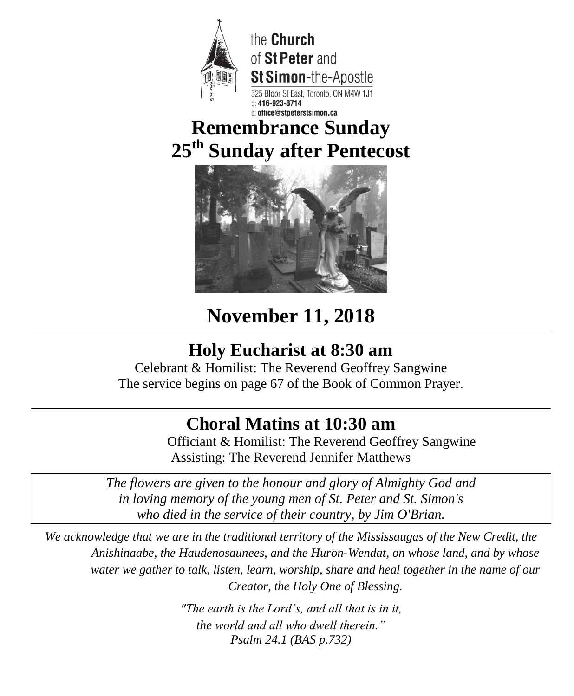

the Church of St Peter and **St Simon-**the-Apostle Bloor St East, Toronto, ON M4W 1J1 ice@stneterstsimon.ca

## **Remembrance Sunday 25 th Sunday after Pentecost**



# **November 11, 2018**

## **Holy Eucharist at 8:30 am**

Celebrant & Homilist: The Reverend Geoffrey Sangwine The service begins on page 67 of the Book of Common Prayer.

## **Choral Matins at 10:30 am**

Officiant & Homilist: The Reverend Geoffrey Sangwine Assisting: The Reverend Jennifer Matthews

*The flowers are given to the honour and glory of Almighty God and in loving memory of the young men of St. Peter and St. Simon's who died in the service of their country, by Jim O'Brian.*

*We acknowledge that we are in the traditional territory of the Mississaugas of the New Credit, the Anishinaabe, the Haudenosaunees, and the Huron-Wendat, on whose land, and by whose water we gather to talk, listen, learn, worship, share and heal together in the name of our Creator, the Holy One of Blessing.*

> *"The earth is the Lord's, and all that is in it, the world and all who dwell therein." Psalm 24.1 (BAS p.732)*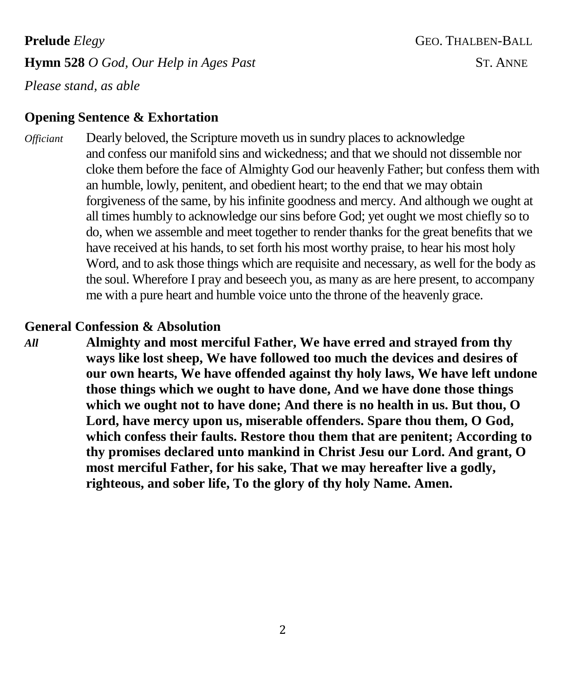**Prelude** *Elegy* **GEO. THALBEN-BALL Hymn 528** *O God, Our Help in Ages Past* ST. ANNE

*Please stand, as able*

### **Opening Sentence & Exhortation**

*Officiant* Dearly beloved, the Scripture moveth us in sundry places to acknowledge and confess our manifold sins and wickedness; and that we should not dissemble nor cloke them before the face of Almighty God our heavenly Father; but confess them with an humble, lowly, penitent, and obedient heart; to the end that we may obtain forgiveness of the same, by his infinite goodness and mercy. And although we ought at all times humbly to acknowledge our sins before God; yet ought we most chiefly so to do, when we assemble and meet together to render thanks for the great benefits that we have received at his hands, to set forth his most worthy praise, to hear his most holy Word, and to ask those things which are requisite and necessary, as well for the body as the soul. Wherefore I pray and beseech you, as many as are here present, to accompany me with a pure heart and humble voice unto the throne of the heavenly grace.

### **General Confession & Absolution**

*All* **Almighty and most merciful Father, We have erred and strayed from thy ways like lost sheep, We have followed too much the devices and desires of our own hearts, We have offended against thy holy laws, We have left undone those things which we ought to have done, And we have done those things which we ought not to have done; And there is no health in us. But thou, O Lord, have mercy upon us, miserable offenders. Spare thou them, O God, which confess their faults. Restore thou them that are penitent; According to thy promises declared unto mankind in Christ Jesu our Lord. And grant, O most merciful Father, for his sake, That we may hereafter live a godly, righteous, and sober life, To the glory of thy holy Name. Amen.**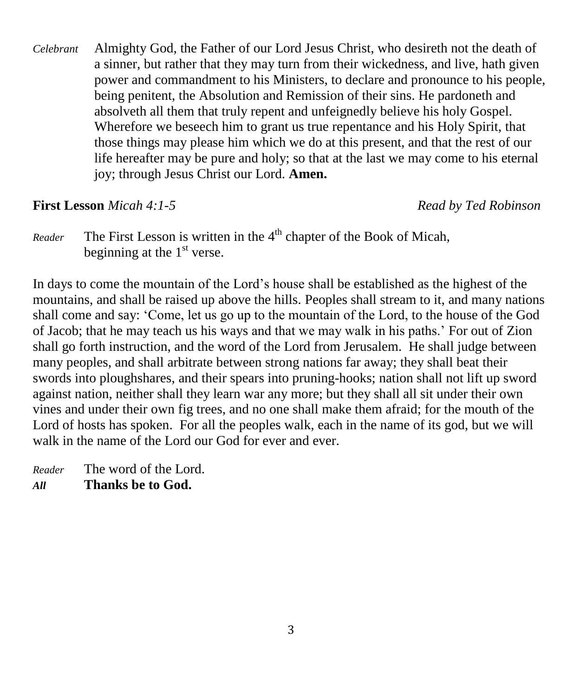*Celebrant* Almighty God, the Father of our Lord Jesus Christ, who desireth not the death of a sinner, but rather that they may turn from their wickedness, and live, hath given power and commandment to his Ministers, to declare and pronounce to his people, being penitent, the Absolution and Remission of their sins. He pardoneth and absolveth all them that truly repent and unfeignedly believe his holy Gospel. Wherefore we beseech him to grant us true repentance and his Holy Spirit, that those things may please him which we do at this present, and that the rest of our life hereafter may be pure and holy; so that at the last we may come to his eternal joy; through Jesus Christ our Lord. **Amen.**

**First Lesson** *Micah 4:1-5 Read by Ted Robinson* 

*Reader* The First Lesson is written in the 4<sup>th</sup> chapter of the Book of Micah, beginning at the  $1<sup>st</sup>$  verse.

In days to come the mountain of the Lord's house shall be established as the highest of the mountains, and shall be raised up above the hills. Peoples shall stream to it, and many nations shall come and say: 'Come, let us go up to the mountain of the Lord, to the house of the God of Jacob; that he may teach us his ways and that we may walk in his paths.' For out of Zion shall go forth instruction, and the word of the Lord from Jerusalem. He shall judge between many peoples, and shall arbitrate between strong nations far away; they shall beat their swords into ploughshares, and their spears into pruning-hooks; nation shall not lift up sword against nation, neither shall they learn war any more; but they shall all sit under their own vines and under their own fig trees, and no one shall make them afraid; for the mouth of the Lord of hosts has spoken. For all the peoples walk, each in the name of its god, but we will walk in the name of the Lord our God for ever and ever.

*Reader* The word of the Lord. *All* **Thanks be to God.**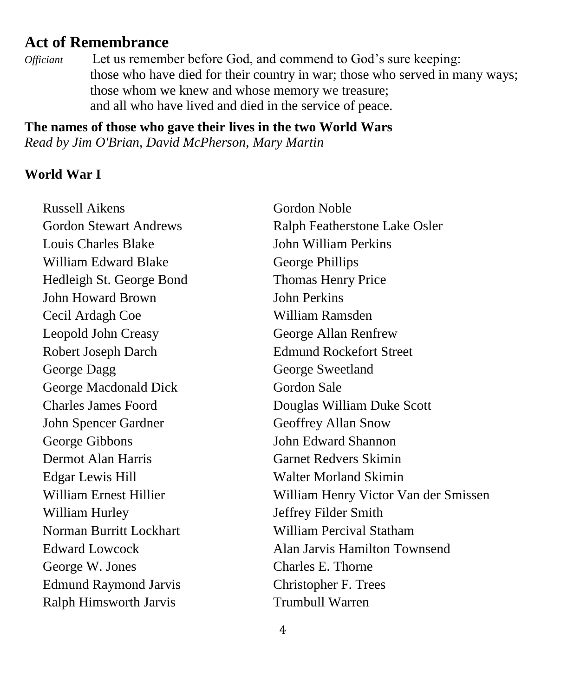### **Act of Remembrance**

*Officiant* Let us remember before God, and commend to God's sure keeping: those who have died for their country in war; those who served in many ways; those whom we knew and whose memory we treasure; and all who have lived and died in the service of peace.

**The names of those who gave their lives in the two World Wars** *Read by Jim O'Brian, David McPherson, Mary Martin*

### **World War I**

Russell Aikens Gordon Noble Louis Charles Blake John William Perkins William Edward Blake George Phillips Hedleigh St. George Bond Thomas Henry Price John Howard Brown John Perkins Cecil Ardagh Coe William Ramsden Leopold John Creasy George Allan Renfrew Robert Joseph Darch Edmund Rockefort Street George Dagg George Sweetland George Macdonald Dick Gordon Sale John Spencer Gardner Geoffrey Allan Snow George Gibbons John Edward Shannon Dermot Alan Harris Garnet Redvers Skimin Edgar Lewis Hill Walter Morland Skimin William Hurley **Jeffrey Filder Smith** Norman Burritt Lockhart William Percival Statham George W. Jones Charles E. Thorne Edmund Raymond Jarvis Christopher F. Trees Ralph Himsworth Jarvis Trumbull Warren

Gordon Stewart Andrews Ralph Featherstone Lake Osler Charles James Foord Douglas William Duke Scott William Ernest Hillier William Henry Victor Van der Smissen Edward Lowcock Alan Jarvis Hamilton Townsend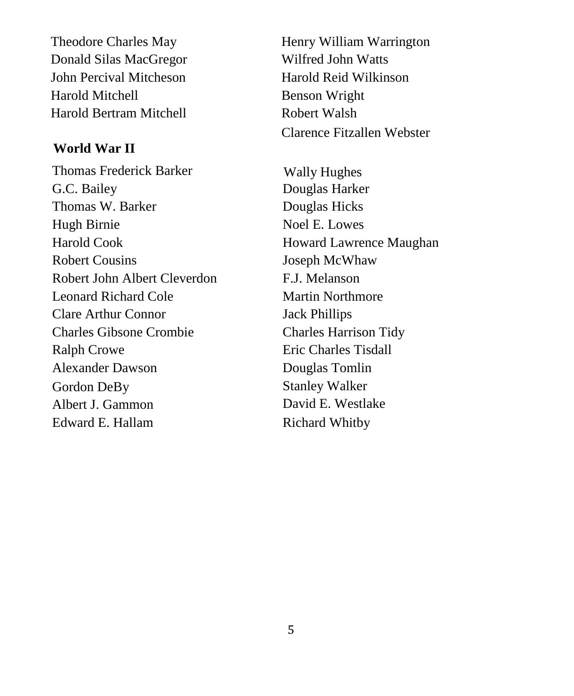Donald Silas MacGregor Wilfred John Watts John Percival Mitcheson Harold Reid Wilkinson Harold Mitchell Benson Wright Harold Bertram Mitchell **Robert Walsh** 

### **World War II**

Thomas Frederick Barker Wally Hughes G.C. Bailey Douglas Harker Thomas W. Barker Douglas Hicks Hugh Birnie Noel E. Lowes Harold Cook **Howard Lawrence Maughan** Robert Cousins Joseph McWhaw Robert John Albert Cleverdon F.J. Melanson Leonard Richard Cole Martin Northmore Clare Arthur Connor Jack Phillips Charles Gibsone Crombie Charles Harrison Tidy Ralph Crowe Eric Charles Tisdall Alexander Dawson Douglas Tomlin Gordon DeBy Stanley Walker Albert J. Gammon David E. Westlake Edward E. Hallam Richard Whitby

Theodore Charles May Henry William Warrington Clarence Fitzallen Webster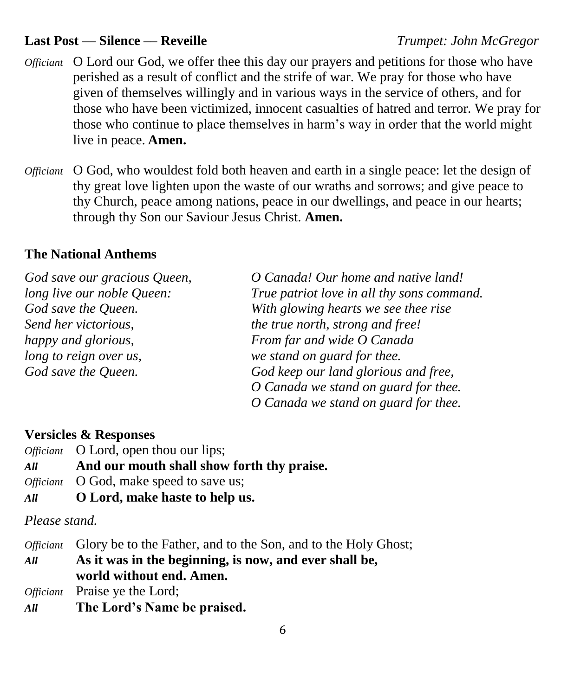### **Last Post –– Silence –– Reveille** *Trumpet: John McGregor*

- *Officiant* O Lord our God, we offer thee this day our prayers and petitions for those who have perished as a result of conflict and the strife of war. We pray for those who have given of themselves willingly and in various ways in the service of others, and for those who have been victimized, innocent casualties of hatred and terror. We pray for those who continue to place themselves in harm's way in order that the world might live in peace. **Amen.**
- *Officiant* O God, who wouldest fold both heaven and earth in a single peace: let the design of thy great love lighten upon the waste of our wraths and sorrows; and give peace to thy Church, peace among nations, peace in our dwellings, and peace in our hearts; through thy Son our Saviour Jesus Christ. **Amen.**

### **The National Anthems**

| God save our gracious Queen, | O Canada! Our home and native land!        |
|------------------------------|--------------------------------------------|
| long live our noble Queen:   | True patriot love in all thy sons command. |
| God save the Queen.          | With glowing hearts we see thee rise       |
| Send her victorious,         | the true north, strong and free!           |
| happy and glorious,          | From far and wide O Canada                 |
| long to reign over us,       | we stand on guard for thee.                |
| God save the Queen.          | God keep our land glorious and free,       |
|                              | O Canada we stand on guard for thee.       |
|                              | O Canada we stand on guard for thee.       |

### **Versicles & Responses**

|     | <i>Officiant</i> O Lord, open thou our lips;   |
|-----|------------------------------------------------|
| All | And our mouth shall show forth thy praise.     |
|     | <i>Officiant</i> O God, make speed to save us; |
| All | O Lord, make haste to help us.                 |

*Please stand.*

*Officiant* Glory be to the Father, and to the Son, and to the Holy Ghost; *All* **As it was in the beginning, is now, and ever shall be, world without end. Amen.**

*Officiant* Praise ye the Lord;

*All* **The Lord's Name be praised.**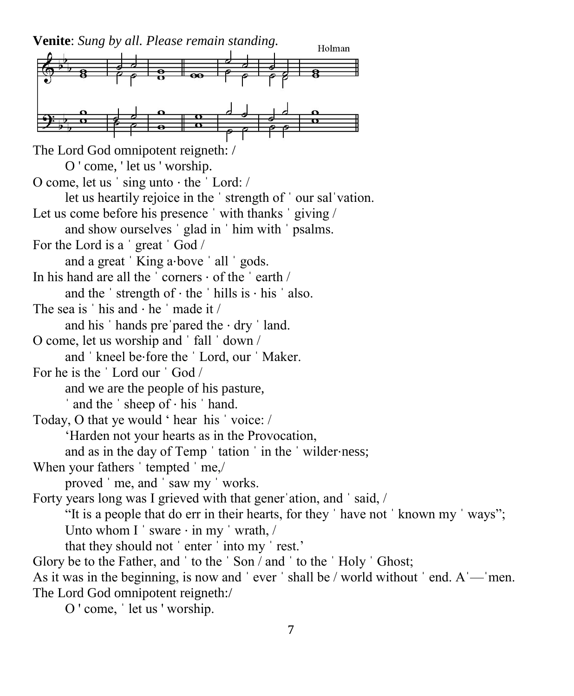**Venite**: *Sung by all. Please remain standing.*

Holman The Lord God omnipotent reigneth: / O ' come, ' let us ' worship. O come, let us ˈ sing unto ⋅ the ˈ Lord: / let us heartily rejoice in the ˈ strength of ˈ our salˈvation. Let us come before his presence 'with thanks ' giving / and show ourselves ˈ glad in ˈ him with ˈ psalms. For the Lord is a ˈ great ˈ God / and a great 'King a⋅bove ' all ' gods. In his hand are all the  $\cdot$  corners  $\cdot$  of the  $\cdot$  earth  $\prime$ and the  $\cdot$  strength of  $\cdot$  the  $\cdot$  hills is  $\cdot$  his  $\cdot$  also. The sea is  $'$  his and  $\cdot$  he  $'$  made it / and his  $'$  hands pre pared the  $·$  dry  $'$  land. O come, let us worship and ˈ fall ˈ down / and ˈ kneel be⋅fore the ˈ Lord, our ˈ Maker. For he is the ˈ Lord our ˈ God / and we are the people of his pasture, ˈ and the ˈ sheep of ⋅ his ˈ hand. Today, O that ye would ' hear his ˈ voice: / 'Harden not your hearts as in the Provocation, and as in the day of Temp 'tation ' in the 'wilder⋅ness; When your fathers 'tempted 'me,/ proved ˈ me, and ˈ saw my ˈ works. Forty years long was I grieved with that gener ation, and 'said, / "It is a people that do err in their hearts, for they ˈ have not ˈ known my ˈ ways"; Unto whom I  $\cdot$  sware  $\cdot$  in my  $\cdot$  wrath,  $\prime$ that they should not ˈ enter ˈ into my ˈ rest.' Glory be to the Father, and ' to the ' Son / and ' to the ' Holy ' Ghost; As it was in the beginning, is now and 'ever ' shall be / world without ' end. A'—'men. The Lord God omnipotent reigneth:/

O ' come, ˈ let us ' worship.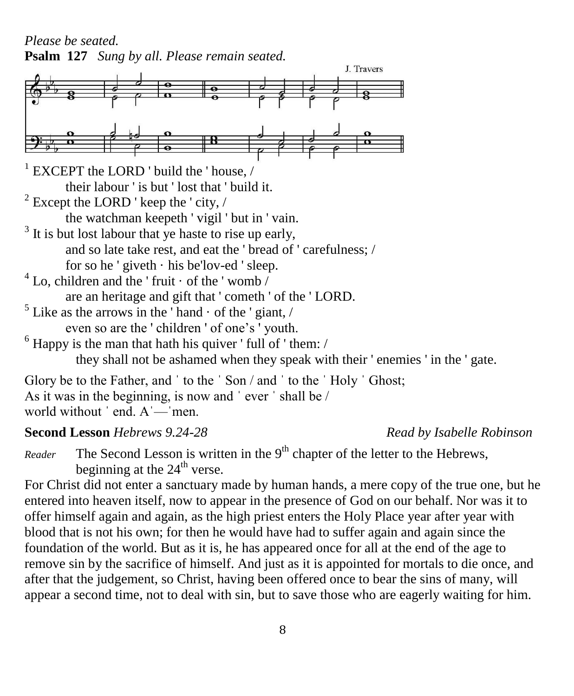*Please be seated.* **Psalm 127** *Sung by all. Please remain seated.*



As it was in the beginning, is now and ˈ ever ˈ shall be /

world without ' end. A'—'men.

### **Second Lesson** *Hebrews 9.24-28 Read by Isabelle Robinson*

*Reader* The Second Lesson is written in the 9<sup>th</sup> chapter of the letter to the Hebrews, beginning at the  $24<sup>th</sup>$  verse.

For Christ did not enter a sanctuary made by human hands, a mere copy of the true one, but he entered into heaven itself, now to appear in the presence of God on our behalf. Nor was it to offer himself again and again, as the high priest enters the Holy Place year after year with blood that is not his own; for then he would have had to suffer again and again since the foundation of the world. But as it is, he has appeared once for all at the end of the age to remove sin by the sacrifice of himself. And just as it is appointed for mortals to die once, and after that the judgement, so Christ, having been offered once to bear the sins of many, will appear a second time, not to deal with sin, but to save those who are eagerly waiting for him.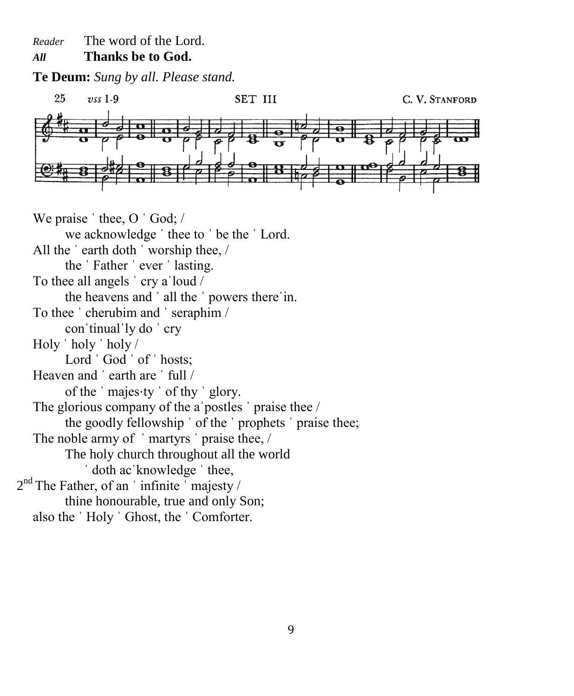*Reader* The word of the Lord.

### *All* **Thanks be to God.**

**Te Deum:** *Sung by all. Please stand.*



We praise ' thee, O ' God; / we acknowledge ˈ thee to ˈ be the ˈ Lord. All the ˈ earth doth ˈ worship thee, / the ˈ Father ˈ ever ˈ lasting. To thee all angels ˈ cry aˈloud / the heavens and ˈ all the ˈ powers thereˈin. To thee ˈ cherubim and ˈ seraphim / conˈtinualˈly do ˈ cry Holy ˈ holy ˈ holy / Lord 'God ' of ' hosts: Heaven and 'earth are ' full / of the ˈ majes⋅ty ˈ of thy ˈ glory. The glorious company of the a postles ' praise thee / the goodly fellowship ˈ of the ˈ prophets ˈ praise thee; The noble army of 'martyrs' praise thee, / The holy church throughout all the world ˈ doth acˈknowledge ˈ thee,  $2<sup>nd</sup>$  The Father, of an 'infinite' majesty / thine honourable, true and only Son; also the ˈ Holy ˈ Ghost, the ˈ Comforter.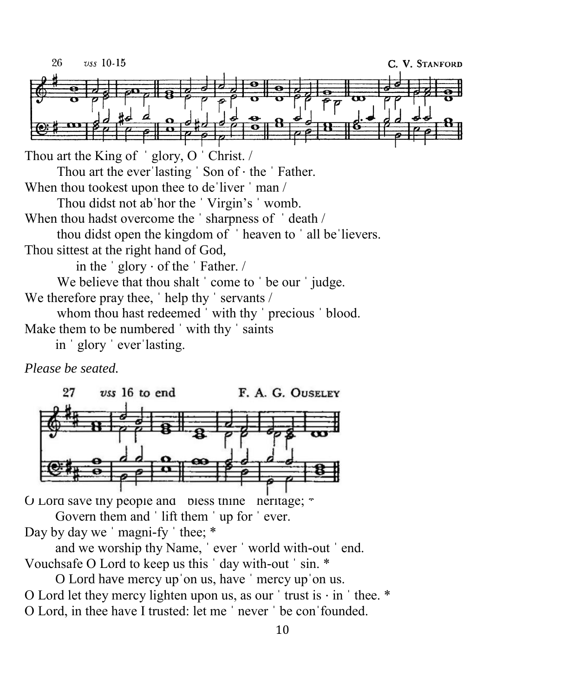26  $\upsilon$ ss 10-15 C. V. STANFORD Thou art the King of 'glory, O 'Christ. / Thou art the everˈlasting ˈ Son of ⋅ the ˈ Father. When thou tookest upon thee to de'liver 'man / Thou didst not abˈhor the ˈ Virgin's ˈ womb. When thou hadst overcome the 'sharpness of 'death / thou didst open the kingdom of ˈ heaven to ˈ all beˈlievers. Thou sittest at the right hand of God, in the ˈ glory ⋅ of the ˈ Father. / We believe that thou shalt ' come to ' be our ' judge. We therefore pray thee, 'help thy ' servants / whom thou hast redeemed 'with thy ' precious ' blood. Make them to be numbered 'with thy ' saints in ˈ glory ˈ everˈlasting.

*Please be seated.*



O Lord save thy people and  $\theta$  bless thine  $\theta$  heritage;  $\theta$ 

Govern them and 'lift them ' up for ' ever. Day by day we ' magni-fy ' thee;  $*$ 

and we worship thy Name, ˈ ever ˈ world with-out ˈ end. Vouchsafe O Lord to keep us this ˈ day with-out ˈ sin. \*

O Lord have mercy upˈon us, have ˈ mercy upˈon us. O Lord let they mercy lighten upon us, as our  $'$  trust is  $\cdot$  in  $'$  thee. \* O Lord, in thee have I trusted: let me ˈ never ˈ be conˈfounded.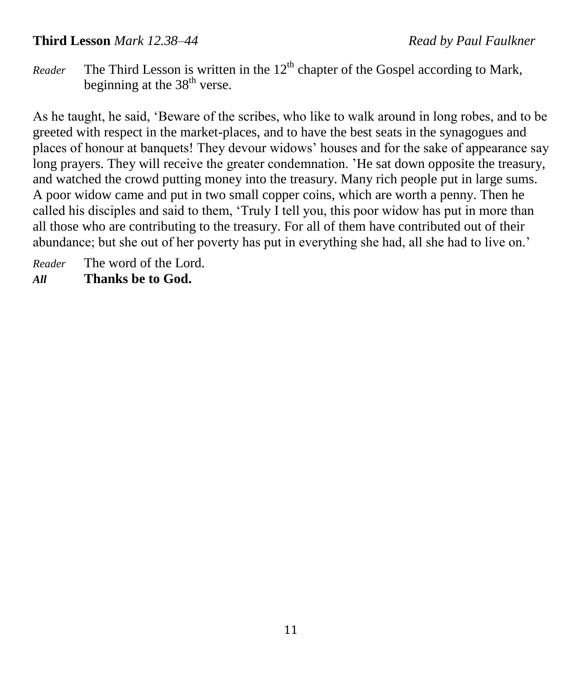### **Third Lesson** *Mark 12.38–44 Read by Paul Faulkner*

*Reader* The Third Lesson is written in the  $12<sup>th</sup>$  chapter of the Gospel according to Mark, beginning at the  $38<sup>th</sup>$  verse.

As he taught, he said, 'Beware of the scribes, who like to walk around in long robes, and to be greeted with respect in the market-places, and to have the best seats in the synagogues and places of honour at banquets! They devour widows' houses and for the sake of appearance say long prayers. They will receive the greater condemnation. 'He sat down opposite the treasury, and watched the crowd putting money into the treasury. Many rich people put in large sums. A poor widow came and put in two small copper coins, which are worth a penny. Then he called his disciples and said to them, 'Truly I tell you, this poor widow has put in more than all those who are contributing to the treasury. For all of them have contributed out of their abundance; but she out of her poverty has put in everything she had, all she had to live on.'

*Reader* The word of the Lord. *All* **Thanks be to God.**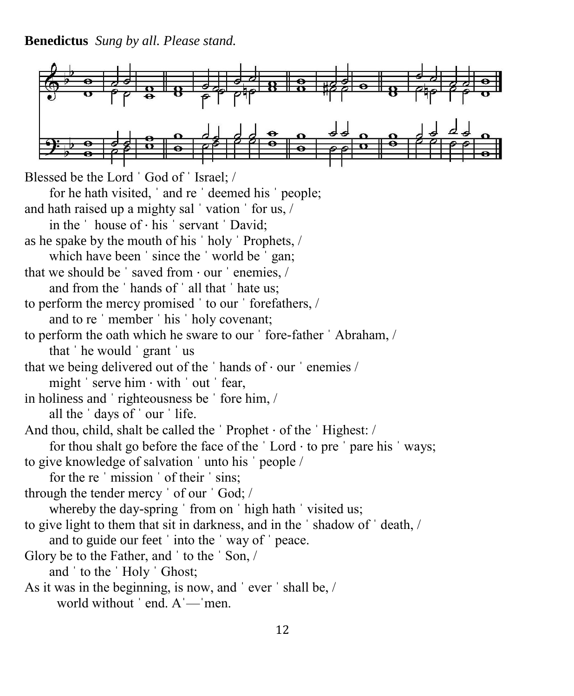**Benedictus** *Sung by all. Please stand.*

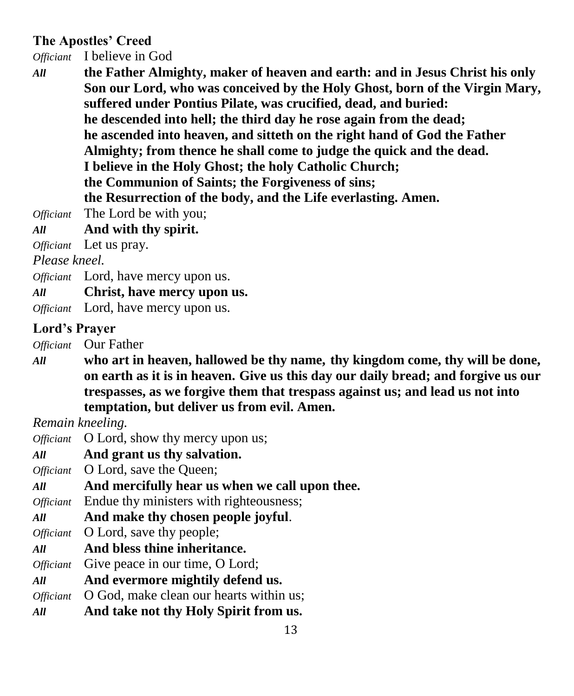### **The Apostles' Creed**

*Officiant* I believe in God

- *All* **the Father Almighty, maker of heaven and earth: and in Jesus Christ his only Son our Lord, who was conceived by the Holy Ghost, born of the Virgin Mary, suffered under Pontius Pilate, was crucified, dead, and buried: he descended into hell; the third day he rose again from the dead; he ascended into heaven, and sitteth on the right hand of God the Father Almighty; from thence he shall come to judge the quick and the dead. I believe in the Holy Ghost; the holy Catholic Church; the Communion of Saints; the Forgiveness of sins; the Resurrection of the body, and the Life everlasting. Amen.** *Officiant* The Lord be with you;
- *All* **And with thy spirit.**

*Officiant* Let us pray.

*Please kneel.*

- *Officiant* Lord, have mercy upon us.
- *All* **Christ, have mercy upon us.**
- *Officiant* Lord, have mercy upon us.

### **Lord's Prayer**

*Officiant* Our Father

*All* **who art in heaven, hallowed be thy name, thy kingdom come, thy will be done, on earth as it is in heaven. Give us this day our daily bread; and forgive us our trespasses, as we forgive them that trespass against us; and lead us not into temptation, but deliver us from evil. Amen.**

*Remain kneeling.*

- *Officiant* O Lord, show thy mercy upon us;
- *All* **And grant us thy salvation.**
- *Officiant* O Lord, save the Oueen;
- *All* **And mercifully hear us when we call upon thee.**

*Officiant* Endue thy ministers with righteousness;

*All* **And make thy chosen people joyful**.

*Officiant* **O** Lord, save thy people;

- *All* **And bless thine inheritance.**
- *Officiant* Give peace in our time, O Lord;
- *All* **And evermore mightily defend us.**
- *Officiant* O God, make clean our hearts within us;
- *All* **And take not thy Holy Spirit from us.**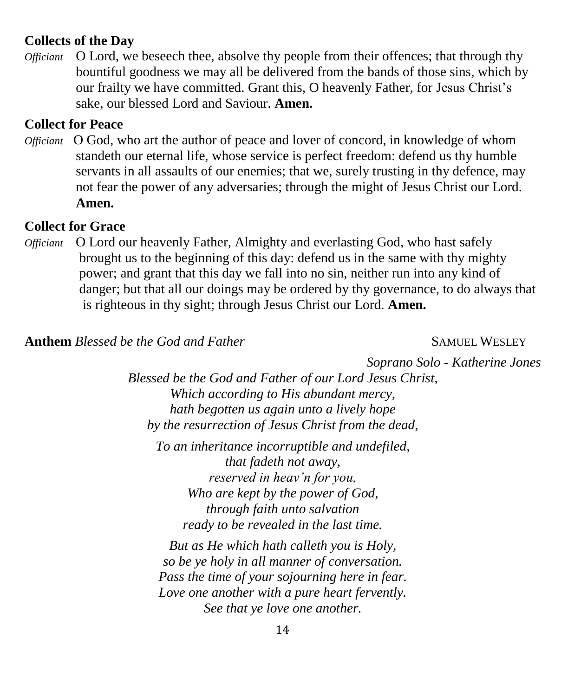### **Collects of the Day**

*Officiant* O Lord, we beseech thee, absolve thy people from their offences; that through thy bountiful goodness we may all be delivered from the bands of those sins, which by our frailty we have committed. Grant this, O heavenly Father, for Jesus Christ's sake, our blessed Lord and Saviour. **Amen.**

### **Collect for Peace**

*Officiant* O God, who art the author of peace and lover of concord, in knowledge of whom standeth our eternal life, whose service is perfect freedom: defend us thy humble servants in all assaults of our enemies; that we, surely trusting in thy defence, may not fear the power of any adversaries; through the might of Jesus Christ our Lord. **Amen.**

### **Collect for Grace**

*Officiant* O Lord our heavenly Father, Almighty and everlasting God, who hast safely brought us to the beginning of this day: defend us in the same with thy mighty power; and grant that this day we fall into no sin, neither run into any kind of danger; but that all our doings may be ordered by thy governance, to do always that is righteous in thy sight; through Jesus Christ our Lord. **Amen.**

**Anthem** *Blessed be the God and Father* **SAMUEL WESLEY** 

*Soprano Solo - Katherine Jones*

*Blessed be the God and Father of our Lord Jesus Christ, Which according to His abundant mercy, hath begotten us again unto a lively hope by the resurrection of Jesus Christ from the dead,*

*To an inheritance incorruptible and undefiled, that fadeth not away, reserved in heav'n for you, Who are kept by the power of God, through faith unto salvation ready to be revealed in the last time.*

*But as He which hath calleth you is Holy, so be ye holy in all manner of conversation. Pass the time of your sojourning here in fear. Love one another with a pure heart fervently. See that ye love one another.*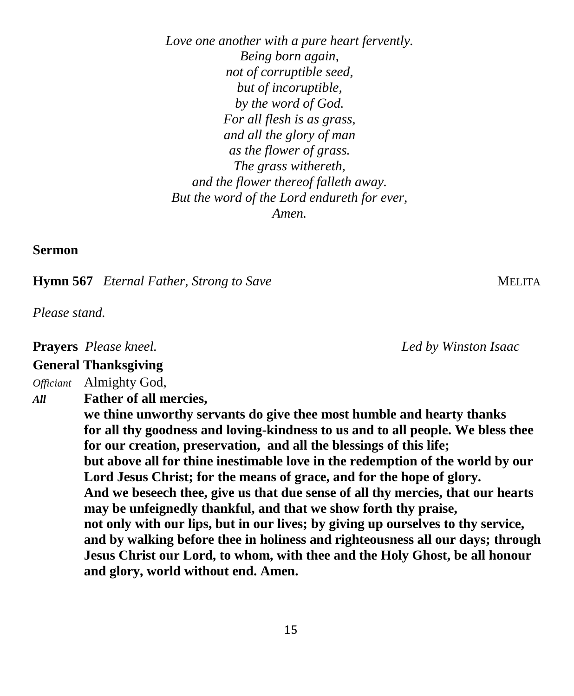*Love one another with a pure heart fervently. Being born again, not of corruptible seed, but of incoruptible, by the word of God. For all flesh is as grass, and all the glory of man as the flower of grass. The grass withereth, and the flower thereof falleth away. But the word of the Lord endureth for ever, Amen.*

**Sermon**

**Hymn 567** *Eternal Father, Strong to Save* MELITA

*Please stand.*

**Prayers** *Please kneel. Led by Winston Isaac*

### **General Thanksgiving**

*Officiant* Almighty God,

*All* **Father of all mercies,** 

**we thine unworthy servants do give thee most humble and hearty thanks for all thy goodness and loving-kindness to us and to all people. We bless thee for our creation, preservation, and all the blessings of this life; but above all for thine inestimable love in the redemption of the world by our Lord Jesus Christ; for the means of grace, and for the hope of glory. And we beseech thee, give us that due sense of all thy mercies, that our hearts may be unfeignedly thankful, and that we show forth thy praise, not only with our lips, but in our lives; by giving up ourselves to thy service, and by walking before thee in holiness and righteousness all our days; through Jesus Christ our Lord, to whom, with thee and the Holy Ghost, be all honour and glory, world without end. Amen.**

15